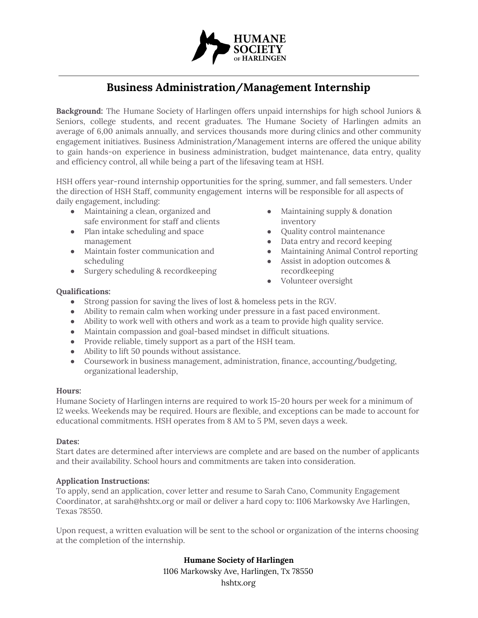

# **Business Administration/Management Internship**

**Background:** The Humane Society of Harlingen offers unpaid internships for high school Juniors & Seniors, college students, and recent graduates. The Humane Society of Harlingen admits an average of 6,00 animals annually, and services thousands more during clinics and other community engagement initiatives. Business Administration/Management interns are offered the unique ability to gain hands-on experience in business administration, budget maintenance, data entry, quality and efficiency control, all while being a part of the lifesaving team at HSH.

HSH offers year-round internship opportunities for the spring, summer, and fall semesters. Under the direction of HSH Staff, community engagement interns will be responsible for all aspects of daily engagement, including:

- Maintaining a clean, organized and safe environment for staff and clients
- Plan intake scheduling and space management
- Maintain foster communication and scheduling
- Surgery scheduling & recordkeeping
- Maintaining supply & donation inventory
- Quality control maintenance
- Data entry and record keeping
- Maintaining Animal Control reporting
- Assist in adoption outcomes & recordkeeping
- Volunteer oversight

# **Qualifications:**

- Strong passion for saving the lives of lost & homeless pets in the RGV.
- Ability to remain calm when working under pressure in a fast paced environment.
- Ability to work well with others and work as a team to provide high quality service.
- Maintain compassion and goal-based mindset in difficult situations.
- Provide reliable, timely support as a part of the HSH team.
- Ability to lift 50 pounds without assistance.
- Coursework in business management, administration, finance, accounting/budgeting, organizational leadership,

# **Hours:**

Humane Society of Harlingen interns are required to work 15-20 hours per week for a minimum of 12 weeks. Weekends may be required. Hours are flexible, and exceptions can be made to account for educational commitments. HSH operates from 8 AM to 5 PM, seven days a week.

#### **Dates:**

Start dates are determined after interviews are complete and are based on the number of applicants and their availability. School hours and commitments are taken into consideration.

# **Application Instructions:**

To apply, send an application, cover letter and resume to Sarah Cano, Community Engagement Coordinator, at sarah@hshtx.org or mail or deliver a hard copy to: 1106 Markowsky Ave Harlingen, Texas 78550.

Upon request, a written evaluation will be sent to the school or organization of the interns choosing at the completion of the internship.

# **Humane Society of Harlingen**

1106 Markowsky Ave, Harlingen, Tx 78550 hshtx.org